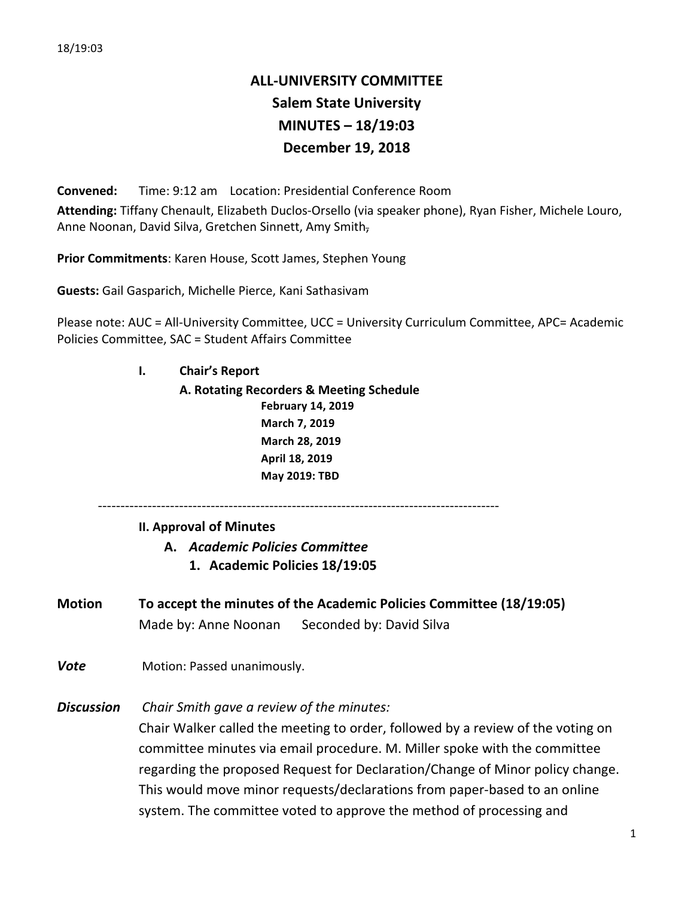# **ALL-UNIVERSITY COMMITTEE Salem State University MINUTES – 18/19:03 December 19, 2018**

**Convened:** Time: 9:12 am Location: Presidential Conference Room Attending: Tiffany Chenault, Elizabeth Duclos-Orsello (via speaker phone), Ryan Fisher, Michele Louro, Anne Noonan, David Silva, Gretchen Sinnett, Amy Smith-

**Prior Commitments:** Karen House, Scott James, Stephen Young

**Guests:** Gail Gasparich, Michelle Pierce, Kani Sathasivam

Please note: AUC = All-University Committee, UCC = University Curriculum Committee, APC= Academic Policies Committee, SAC = Student Affairs Committee

> **I. Chair's Report A. Rotating Recorders & Meeting Schedule February 14, 2019 March 7, 2019 March 28, 2019 April 18, 2019 May 2019: TBD**

-----------------------------------------------------------------------------------------

#### **II. Approval of Minutes**

**A.** *Academic Policies Committee*

- **1. Academic Policies 18/19:05**
- **Motion To accept the minutes of the Academic Policies Committee (18/19:05)** Made by: Anne Noonan Seconded by: David Silva
- **Vote** Motion: Passed unanimously.

**Discussion** Chair Smith gave a review of the minutes:

Chair Walker called the meeting to order, followed by a review of the voting on committee minutes via email procedure. M. Miller spoke with the committee regarding the proposed Request for Declaration/Change of Minor policy change. This would move minor requests/declarations from paper-based to an online system. The committee voted to approve the method of processing and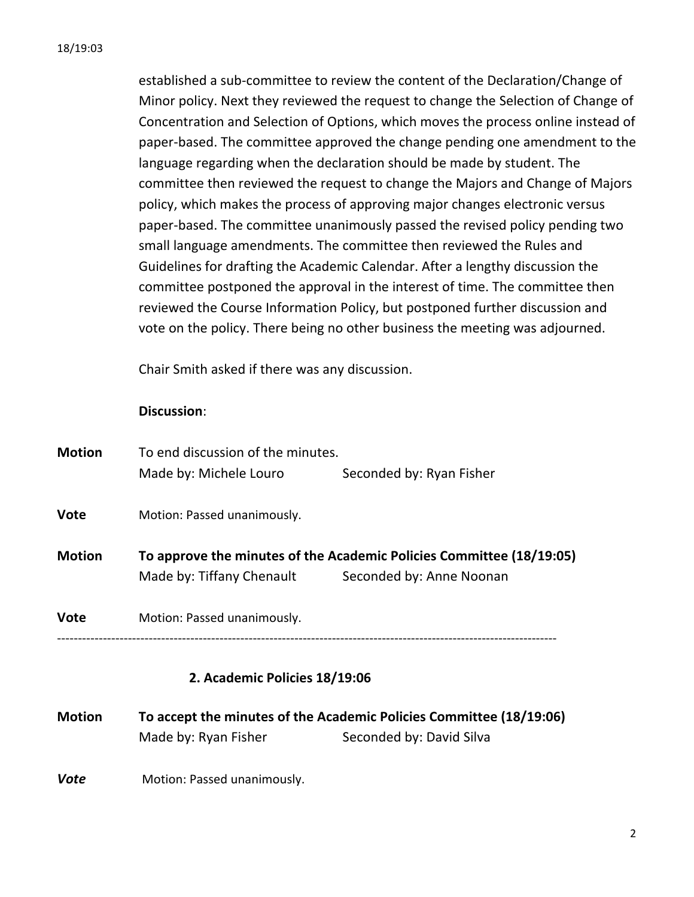established a sub-committee to review the content of the Declaration/Change of Minor policy. Next they reviewed the request to change the Selection of Change of Concentration and Selection of Options, which moves the process online instead of paper-based. The committee approved the change pending one amendment to the language regarding when the declaration should be made by student. The committee then reviewed the request to change the Majors and Change of Majors policy, which makes the process of approving major changes electronic versus paper-based. The committee unanimously passed the revised policy pending two small language amendments. The committee then reviewed the Rules and Guidelines for drafting the Academic Calendar. After a lengthy discussion the committee postponed the approval in the interest of time. The committee then reviewed the Course Information Policy, but postponed further discussion and vote on the policy. There being no other business the meeting was adjourned.

Chair Smith asked if there was any discussion.

# **Discussion**:

| <b>Vote</b>   | Motion: Passed unanimously.       |                                                                                                  |  |
|---------------|-----------------------------------|--------------------------------------------------------------------------------------------------|--|
| <b>Motion</b> | Made by: Tiffany Chenault         | To approve the minutes of the Academic Policies Committee (18/19:05)<br>Seconded by: Anne Noonan |  |
| <b>Vote</b>   | Motion: Passed unanimously.       |                                                                                                  |  |
|               | Made by: Michele Louro            | Seconded by: Ryan Fisher                                                                         |  |
| <b>Motion</b> | To end discussion of the minutes. |                                                                                                  |  |

# **2. Academic Policies 18/19:06**

**Motion To accept the minutes of the Academic Policies Committee (18/19:06)** Made by: Ryan Fisher Seconded by: David Silva

**Vote** Motion: Passed unanimously.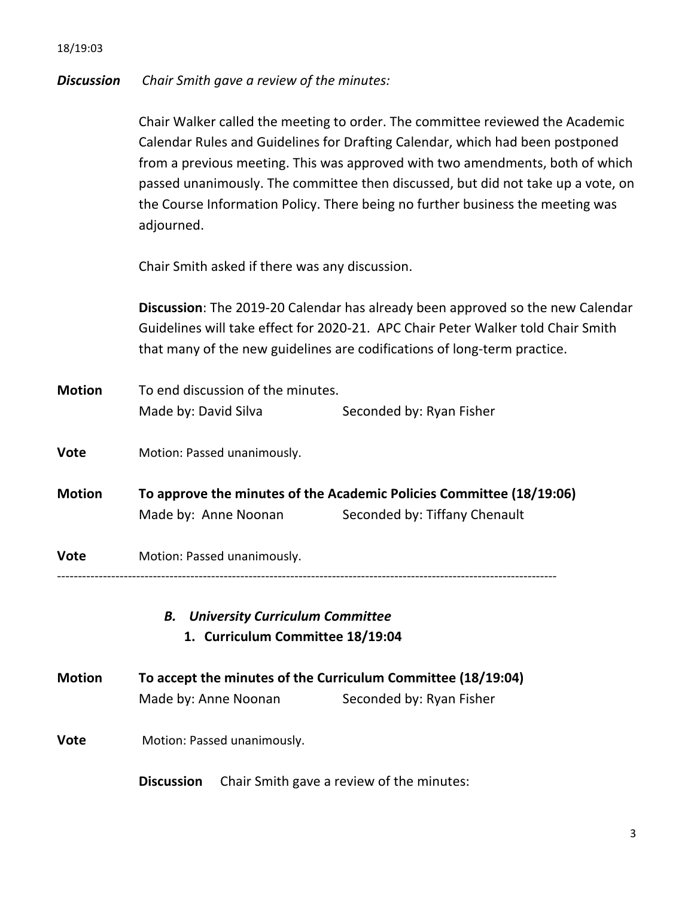# **Discussion** Chair Smith gave a review of the minutes:

Chair Walker called the meeting to order. The committee reviewed the Academic Calendar Rules and Guidelines for Drafting Calendar, which had been postponed from a previous meeting. This was approved with two amendments, both of which passed unanimously. The committee then discussed, but did not take up a vote, on the Course Information Policy. There being no further business the meeting was adjourned. 

Chair Smith asked if there was any discussion.

**Discussion**: The 2019-20 Calendar has already been approved so the new Calendar Guidelines will take effect for 2020-21. APC Chair Peter Walker told Chair Smith that many of the new guidelines are codifications of long-term practice.

| <b>Motion</b> | To end discussion of the minutes. |                          |
|---------------|-----------------------------------|--------------------------|
|               | Made by: David Silva              | Seconded by: Ryan Fisher |

**Vote** Motion: Passed unanimously.

**Motion To approve the minutes of the Academic Policies Committee (18/19:06)** Made by: Anne Noonan Seconded by: Tiffany Chenault

**Vote** Motion: Passed unanimously.

------------------------------------------------------------------------------------------------------------------------

*B. University Curriculum Committee* **1. Curriculum Committee 18/19:04**

- **Motion To accept the minutes of the Curriculum Committee (18/19:04)** Made by: Anne Noonan Seconded by: Ryan Fisher
- **Vote** Motion: Passed unanimously.

**Discussion** Chair Smith gave a review of the minutes: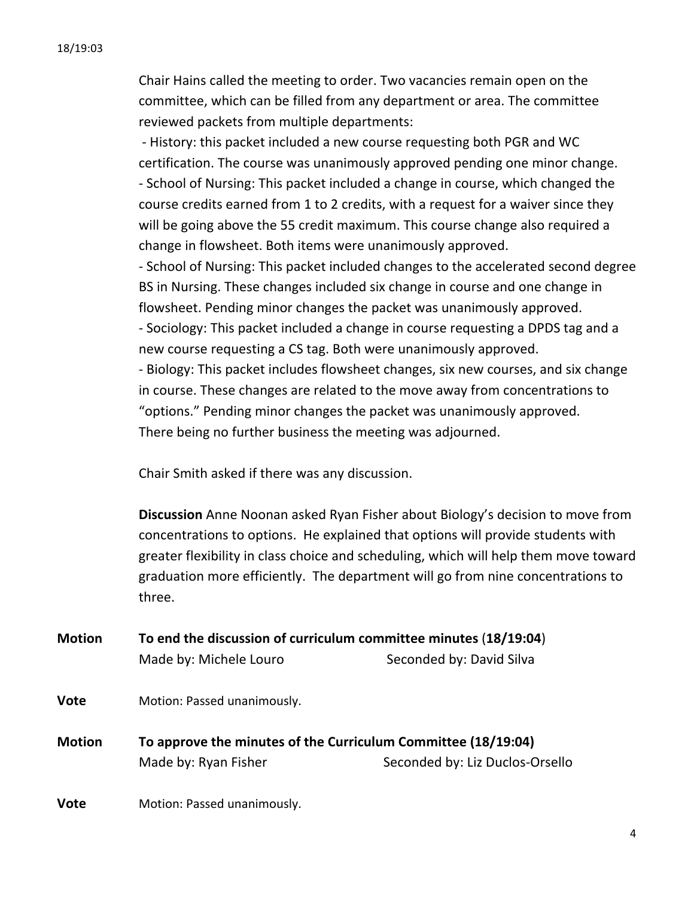Chair Hains called the meeting to order. Two vacancies remain open on the committee, which can be filled from any department or area. The committee reviewed packets from multiple departments:

- History: this packet included a new course requesting both PGR and WC certification. The course was unanimously approved pending one minor change. - School of Nursing: This packet included a change in course, which changed the course credits earned from 1 to 2 credits, with a request for a waiver since they will be going above the 55 credit maximum. This course change also required a change in flowsheet. Both items were unanimously approved.

- School of Nursing: This packet included changes to the accelerated second degree BS in Nursing. These changes included six change in course and one change in flowsheet. Pending minor changes the packet was unanimously approved.

- Sociology: This packet included a change in course requesting a DPDS tag and a new course requesting a CS tag. Both were unanimously approved.

- Biology: This packet includes flowsheet changes, six new courses, and six change in course. These changes are related to the move away from concentrations to "options." Pending minor changes the packet was unanimously approved. There being no further business the meeting was adjourned.

Chair Smith asked if there was any discussion.

**Discussion** Anne Noonan asked Ryan Fisher about Biology's decision to move from concentrations to options. He explained that options will provide students with greater flexibility in class choice and scheduling, which will help them move toward graduation more efficiently. The department will go from nine concentrations to three. 

**Motion To end the discussion of curriculum committee minutes** (18/19:04) Made by: Michele Louro Seconded by: David Silva

- **Vote** Motion: Passed unanimously.
- **Motion To approve the minutes of the Curriculum Committee (18/19:04)** Made by: Ryan Fisher Seconded by: Liz Duclos-Orsello
- **Vote** Motion: Passed unanimously.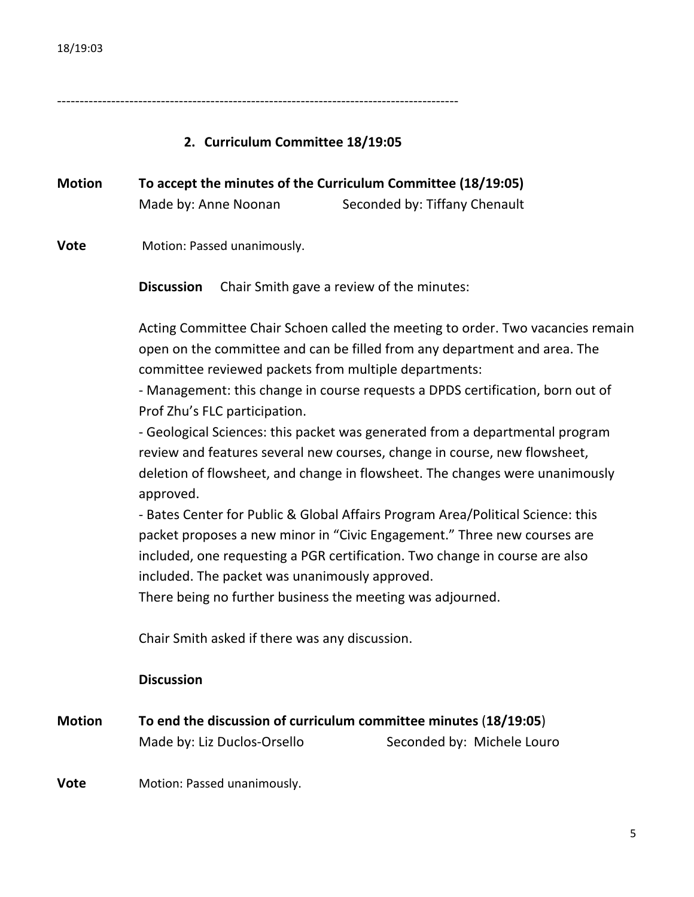-----------------------------------------------------------------------------------------

# **2. Curriculum Committee 18/19:05**

**Motion To accept the minutes of the Curriculum Committee (18/19:05)** Made by: Anne Noonan Seconded by: Tiffany Chenault

**Vote** Motion: Passed unanimously.

**Discussion** Chair Smith gave a review of the minutes:

Acting Committee Chair Schoen called the meeting to order. Two vacancies remain open on the committee and can be filled from any department and area. The committee reviewed packets from multiple departments:

- Management: this change in course requests a DPDS certification, born out of Prof Zhu's FLC participation.

- Geological Sciences: this packet was generated from a departmental program review and features several new courses, change in course, new flowsheet, deletion of flowsheet, and change in flowsheet. The changes were unanimously approved. 

- Bates Center for Public & Global Affairs Program Area/Political Science: this packet proposes a new minor in "Civic Engagement." Three new courses are included, one requesting a PGR certification. Two change in course are also included. The packet was unanimously approved.

There being no further business the meeting was adjourned.

Chair Smith asked if there was any discussion.

#### **Discussion**

| <b>Motion</b> | To end the discussion of curriculum committee minutes (18/19:05) |                            |  |
|---------------|------------------------------------------------------------------|----------------------------|--|
|               | Made by: Liz Duclos-Orsello                                      | Seconded by: Michele Louro |  |
|               |                                                                  |                            |  |

**Vote** Motion: Passed unanimously.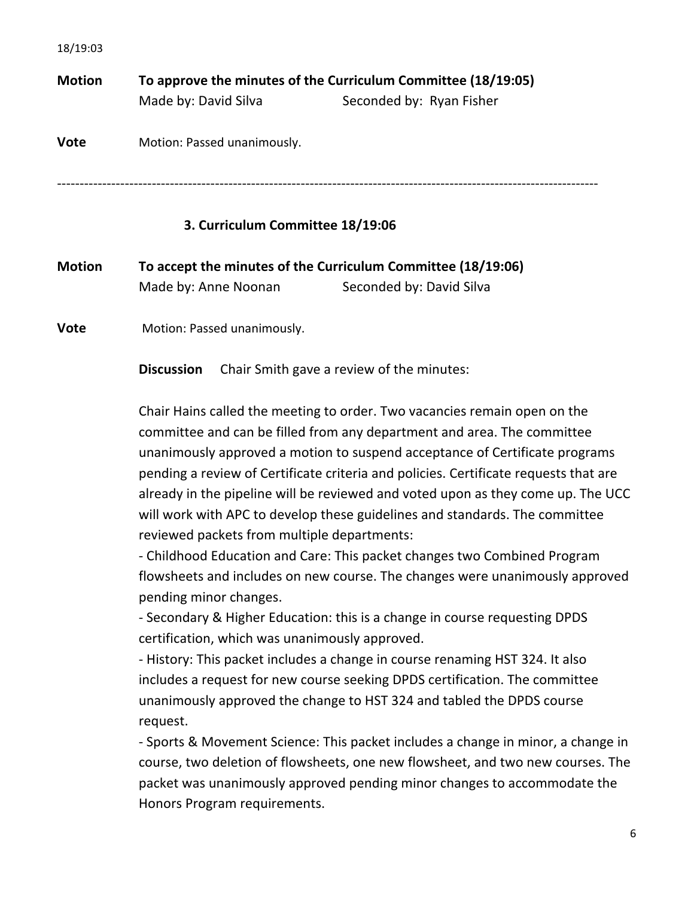| <b>Motion</b> | To approve the minutes of the Curriculum Committee (18/19:05) |                          |  |
|---------------|---------------------------------------------------------------|--------------------------|--|
|               | Made by: David Silva                                          | Seconded by: Ryan Fisher |  |
| <b>Vote</b>   | Motion: Passed unanimously.                                   |                          |  |
|               |                                                               |                          |  |

# **3. Curriculum Committee 18/19:06**

| <b>Motion</b> | To accept the minutes of the Curriculum Committee (18/19:06) |                          |
|---------------|--------------------------------------------------------------|--------------------------|
|               | Made by: Anne Noonan                                         | Seconded by: David Silva |

**Vote** Motion: Passed unanimously.

**Discussion** Chair Smith gave a review of the minutes:

Chair Hains called the meeting to order. Two vacancies remain open on the committee and can be filled from any department and area. The committee unanimously approved a motion to suspend acceptance of Certificate programs pending a review of Certificate criteria and policies. Certificate requests that are already in the pipeline will be reviewed and voted upon as they come up. The UCC will work with APC to develop these guidelines and standards. The committee reviewed packets from multiple departments:

- Childhood Education and Care: This packet changes two Combined Program flowsheets and includes on new course. The changes were unanimously approved pending minor changes.

- Secondary & Higher Education: this is a change in course requesting DPDS certification, which was unanimously approved.

- History: This packet includes a change in course renaming HST 324. It also includes a request for new course seeking DPDS certification. The committee unanimously approved the change to HST 324 and tabled the DPDS course request. 

- Sports & Movement Science: This packet includes a change in minor, a change in course, two deletion of flowsheets, one new flowsheet, and two new courses. The packet was unanimously approved pending minor changes to accommodate the Honors Program requirements.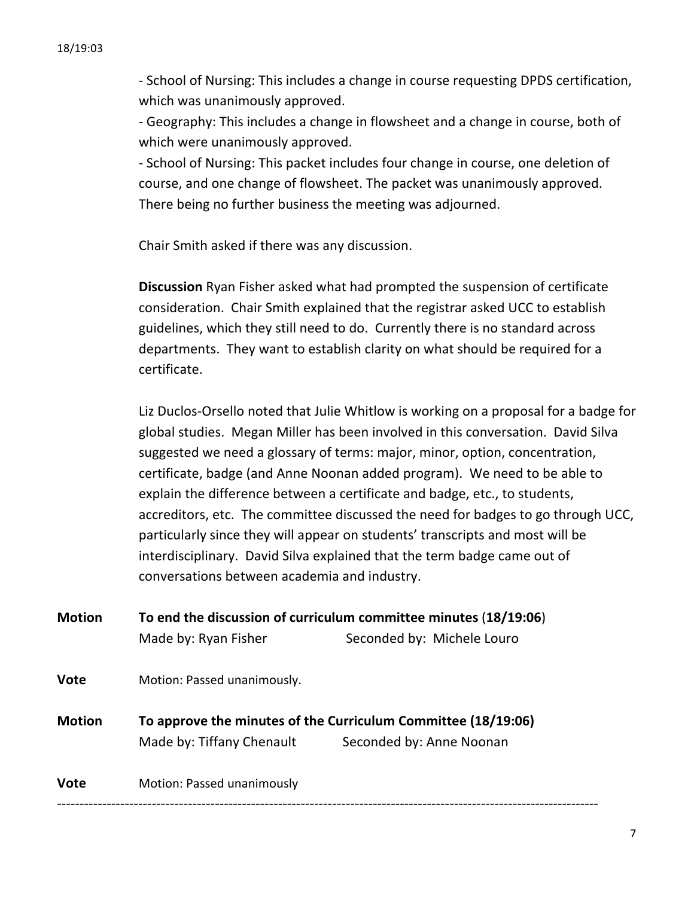- School of Nursing: This includes a change in course requesting DPDS certification, which was unanimously approved.

- Geography: This includes a change in flowsheet and a change in course, both of which were unanimously approved.

- School of Nursing: This packet includes four change in course, one deletion of course, and one change of flowsheet. The packet was unanimously approved. There being no further business the meeting was adjourned.

Chair Smith asked if there was any discussion.

**Discussion** Ryan Fisher asked what had prompted the suspension of certificate consideration. Chair Smith explained that the registrar asked UCC to establish guidelines, which they still need to do. Currently there is no standard across departments. They want to establish clarity on what should be required for a certificate.

Liz Duclos-Orsello noted that Julie Whitlow is working on a proposal for a badge for global studies. Megan Miller has been involved in this conversation. David Silva suggested we need a glossary of terms: major, minor, option, concentration, certificate, badge (and Anne Noonan added program). We need to be able to explain the difference between a certificate and badge, etc., to students, accreditors, etc. The committee discussed the need for badges to go through UCC, particularly since they will appear on students' transcripts and most will be interdisciplinary. David Silva explained that the term badge came out of conversations between academia and industry.

| <b>Motion</b> | To end the discussion of curriculum committee minutes (18/19:06) |                            |  |
|---------------|------------------------------------------------------------------|----------------------------|--|
|               | Made by: Ryan Fisher                                             | Seconded by: Michele Louro |  |
| <b>Vote</b>   | Motion: Passed unanimously.                                      |                            |  |
| <b>Motion</b> | To approve the minutes of the Curriculum Committee (18/19:06)    |                            |  |
|               | Made by: Tiffany Chenault                                        | Seconded by: Anne Noonan   |  |
|               |                                                                  |                            |  |
| <b>Vote</b>   | Motion: Passed unanimously                                       |                            |  |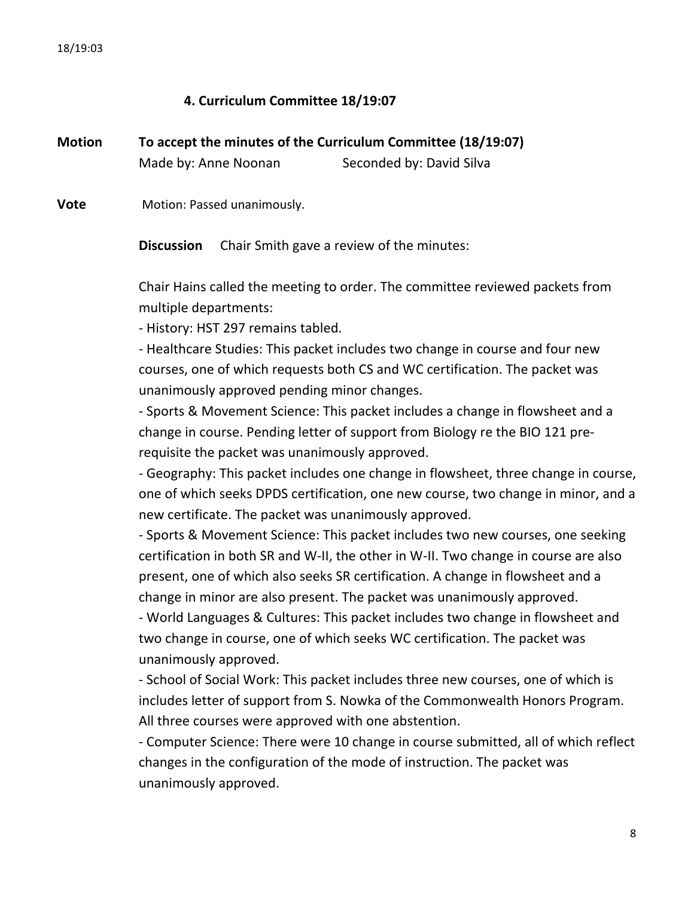# **4. Curriculum Committee 18/19:07**

| <b>Motion</b> | To accept the minutes of the Curriculum Committee (18/19:07) |                          |
|---------------|--------------------------------------------------------------|--------------------------|
|               | Made by: Anne Noonan                                         | Seconded by: David Silva |

**Vote** Motion: Passed unanimously.

**Discussion** Chair Smith gave a review of the minutes:

Chair Hains called the meeting to order. The committee reviewed packets from multiple departments:

- History: HST 297 remains tabled.

- Healthcare Studies: This packet includes two change in course and four new courses, one of which requests both CS and WC certification. The packet was unanimously approved pending minor changes.

- Sports & Movement Science: This packet includes a change in flowsheet and a change in course. Pending letter of support from Biology re the BIO 121 prerequisite the packet was unanimously approved.

- Geography: This packet includes one change in flowsheet, three change in course, one of which seeks DPDS certification, one new course, two change in minor, and a new certificate. The packet was unanimously approved.

- Sports & Movement Science: This packet includes two new courses, one seeking certification in both SR and W-II, the other in W-II. Two change in course are also present, one of which also seeks SR certification. A change in flowsheet and a change in minor are also present. The packet was unanimously approved.

- World Languages & Cultures: This packet includes two change in flowsheet and two change in course, one of which seeks WC certification. The packet was unanimously approved.

- School of Social Work: This packet includes three new courses, one of which is includes letter of support from S. Nowka of the Commonwealth Honors Program. All three courses were approved with one abstention.

- Computer Science: There were 10 change in course submitted, all of which reflect changes in the configuration of the mode of instruction. The packet was unanimously approved.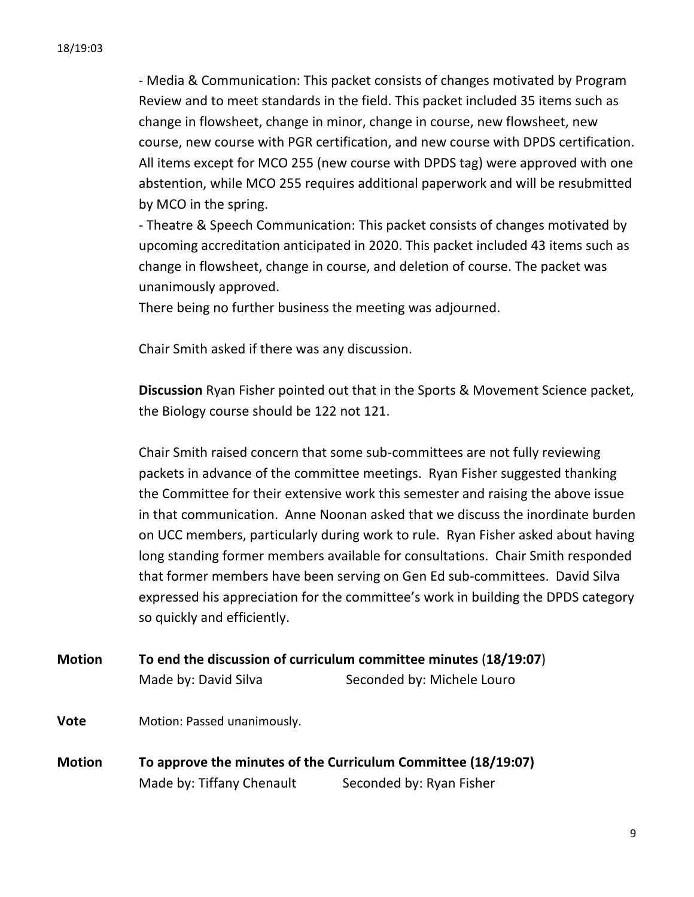- Media & Communication: This packet consists of changes motivated by Program Review and to meet standards in the field. This packet included 35 items such as change in flowsheet, change in minor, change in course, new flowsheet, new course, new course with PGR certification, and new course with DPDS certification. All items except for MCO 255 (new course with DPDS tag) were approved with one abstention, while MCO 255 requires additional paperwork and will be resubmitted by MCO in the spring.

- Theatre & Speech Communication: This packet consists of changes motivated by upcoming accreditation anticipated in 2020. This packet included 43 items such as change in flowsheet, change in course, and deletion of course. The packet was unanimously approved.

There being no further business the meeting was adjourned.

Chair Smith asked if there was any discussion.

**Discussion** Ryan Fisher pointed out that in the Sports & Movement Science packet, the Biology course should be 122 not 121.

Chair Smith raised concern that some sub-committees are not fully reviewing packets in advance of the committee meetings. Ryan Fisher suggested thanking the Committee for their extensive work this semester and raising the above issue in that communication. Anne Noonan asked that we discuss the inordinate burden on UCC members, particularly during work to rule. Ryan Fisher asked about having long standing former members available for consultations. Chair Smith responded that former members have been serving on Gen Ed sub-committees. David Silva expressed his appreciation for the committee's work in building the DPDS category so quickly and efficiently.

**Motion To end the discussion of curriculum committee minutes** (18/19:07)

Made by: David Silva Summan Seconded by: Michele Louro

**Vote** Motion: Passed unanimously.

**Motion To approve the minutes of the Curriculum Committee (18/19:07)** Made by: Tiffany Chenault Seconded by: Ryan Fisher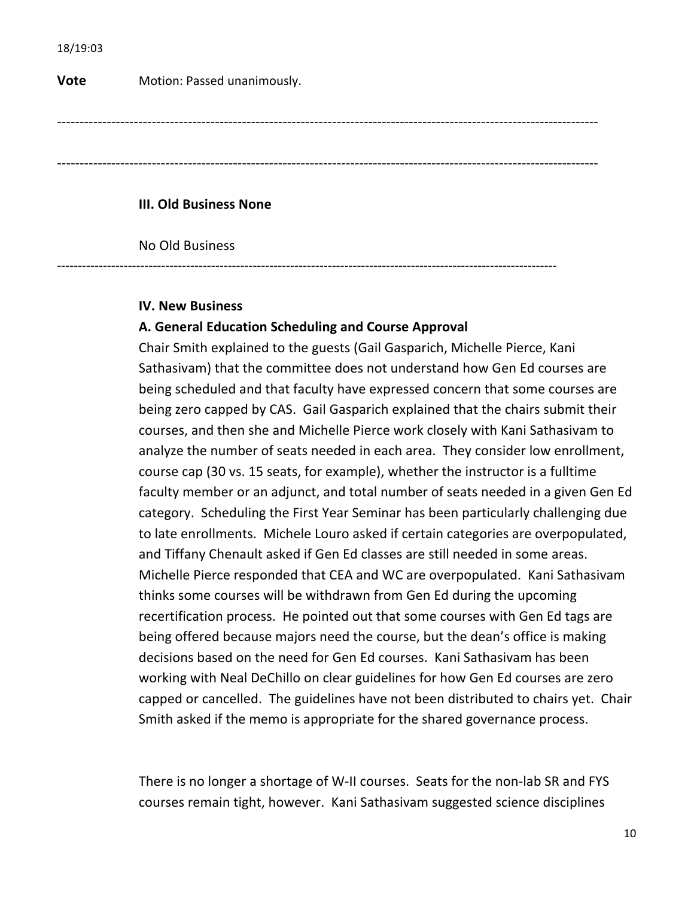**Vote** Motion: Passed unanimously.

------------------------------------------------------------------------------------------------------------------------

------------------------------------------------------------------------------------------------------------------------

#### **III. Old Business None**

No Old Business

------------------------------------------------------------------------------------------------------------------------

# **IV. New Business**

### **A. General Education Scheduling and Course Approval**

Chair Smith explained to the guests (Gail Gasparich, Michelle Pierce, Kani Sathasivam) that the committee does not understand how Gen Ed courses are being scheduled and that faculty have expressed concern that some courses are being zero capped by CAS. Gail Gasparich explained that the chairs submit their courses, and then she and Michelle Pierce work closely with Kani Sathasivam to analyze the number of seats needed in each area. They consider low enrollment, course cap (30 vs. 15 seats, for example), whether the instructor is a fulltime faculty member or an adjunct, and total number of seats needed in a given Gen Ed category. Scheduling the First Year Seminar has been particularly challenging due to late enrollments. Michele Louro asked if certain categories are overpopulated, and Tiffany Chenault asked if Gen Ed classes are still needed in some areas. Michelle Pierce responded that CEA and WC are overpopulated. Kani Sathasivam thinks some courses will be withdrawn from Gen Ed during the upcoming recertification process. He pointed out that some courses with Gen Ed tags are being offered because majors need the course, but the dean's office is making decisions based on the need for Gen Ed courses. Kani Sathasivam has been working with Neal DeChillo on clear guidelines for how Gen Ed courses are zero capped or cancelled. The guidelines have not been distributed to chairs yet. Chair Smith asked if the memo is appropriate for the shared governance process.

There is no longer a shortage of W-II courses. Seats for the non-lab SR and FYS courses remain tight, however. Kani Sathasivam suggested science disciplines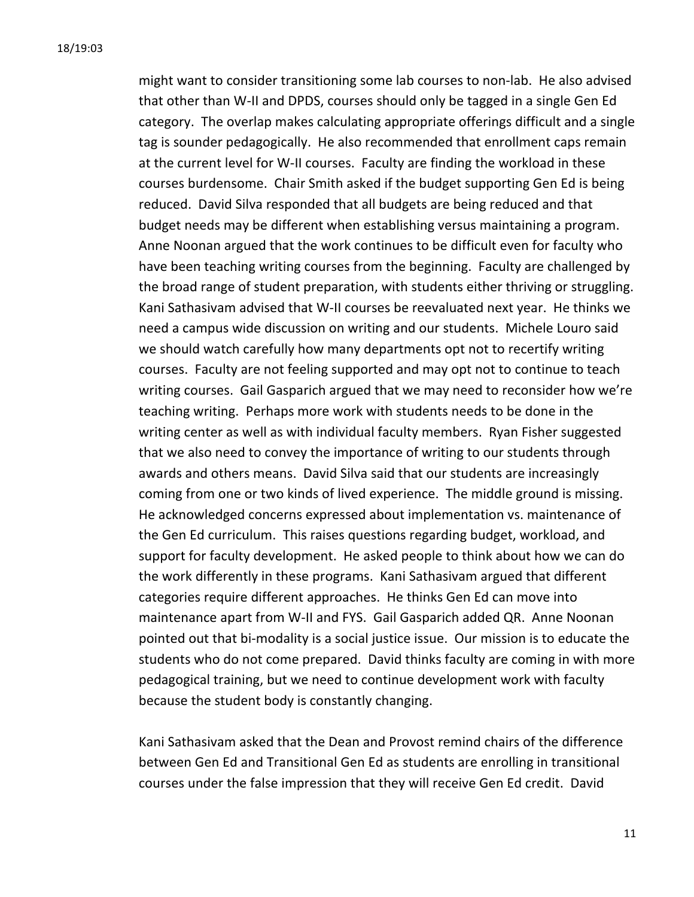might want to consider transitioning some lab courses to non-lab. He also advised that other than W-II and DPDS, courses should only be tagged in a single Gen Ed category. The overlap makes calculating appropriate offerings difficult and a single tag is sounder pedagogically. He also recommended that enrollment caps remain at the current level for W-II courses. Faculty are finding the workload in these courses burdensome. Chair Smith asked if the budget supporting Gen Ed is being reduced. David Silva responded that all budgets are being reduced and that budget needs may be different when establishing versus maintaining a program. Anne Noonan argued that the work continues to be difficult even for faculty who have been teaching writing courses from the beginning. Faculty are challenged by the broad range of student preparation, with students either thriving or struggling. Kani Sathasivam advised that W-II courses be reevaluated next year. He thinks we need a campus wide discussion on writing and our students. Michele Louro said we should watch carefully how many departments opt not to recertify writing courses. Faculty are not feeling supported and may opt not to continue to teach writing courses. Gail Gasparich argued that we may need to reconsider how we're teaching writing. Perhaps more work with students needs to be done in the writing center as well as with individual faculty members. Ryan Fisher suggested that we also need to convey the importance of writing to our students through awards and others means. David Silva said that our students are increasingly coming from one or two kinds of lived experience. The middle ground is missing. He acknowledged concerns expressed about implementation vs. maintenance of the Gen Ed curriculum. This raises questions regarding budget, workload, and support for faculty development. He asked people to think about how we can do the work differently in these programs. Kani Sathasivam argued that different categories require different approaches. He thinks Gen Ed can move into maintenance apart from W-II and FYS. Gail Gasparich added QR. Anne Noonan pointed out that bi-modality is a social justice issue. Our mission is to educate the students who do not come prepared. David thinks faculty are coming in with more pedagogical training, but we need to continue development work with faculty because the student body is constantly changing.

Kani Sathasivam asked that the Dean and Provost remind chairs of the difference between Gen Ed and Transitional Gen Ed as students are enrolling in transitional courses under the false impression that they will receive Gen Ed credit. David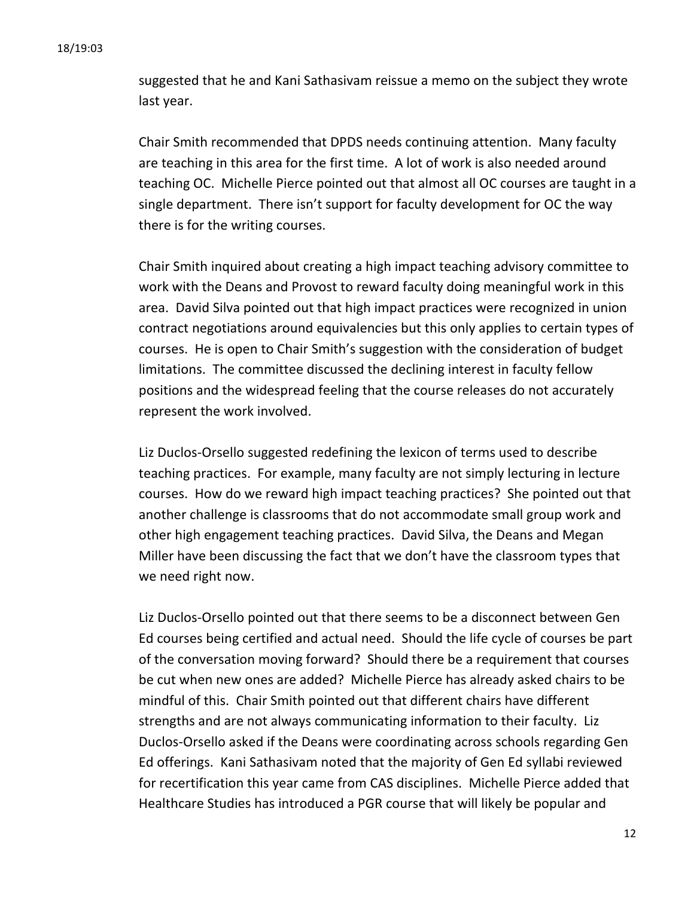suggested that he and Kani Sathasivam reissue a memo on the subject they wrote last vear.

Chair Smith recommended that DPDS needs continuing attention. Many faculty are teaching in this area for the first time. A lot of work is also needed around teaching OC. Michelle Pierce pointed out that almost all OC courses are taught in a single department. There isn't support for faculty development for OC the way there is for the writing courses.

Chair Smith inquired about creating a high impact teaching advisory committee to work with the Deans and Provost to reward faculty doing meaningful work in this area. David Silva pointed out that high impact practices were recognized in union contract negotiations around equivalencies but this only applies to certain types of courses. He is open to Chair Smith's suggestion with the consideration of budget limitations. The committee discussed the declining interest in faculty fellow positions and the widespread feeling that the course releases do not accurately represent the work involved.

Liz Duclos-Orsello suggested redefining the lexicon of terms used to describe teaching practices. For example, many faculty are not simply lecturing in lecture courses. How do we reward high impact teaching practices? She pointed out that another challenge is classrooms that do not accommodate small group work and other high engagement teaching practices. David Silva, the Deans and Megan Miller have been discussing the fact that we don't have the classroom types that we need right now.

Liz Duclos-Orsello pointed out that there seems to be a disconnect between Gen Ed courses being certified and actual need. Should the life cycle of courses be part of the conversation moving forward? Should there be a requirement that courses be cut when new ones are added? Michelle Pierce has already asked chairs to be mindful of this. Chair Smith pointed out that different chairs have different strengths and are not always communicating information to their faculty. Liz Duclos-Orsello asked if the Deans were coordinating across schools regarding Gen Ed offerings. Kani Sathasivam noted that the majority of Gen Ed syllabi reviewed for recertification this year came from CAS disciplines. Michelle Pierce added that Healthcare Studies has introduced a PGR course that will likely be popular and